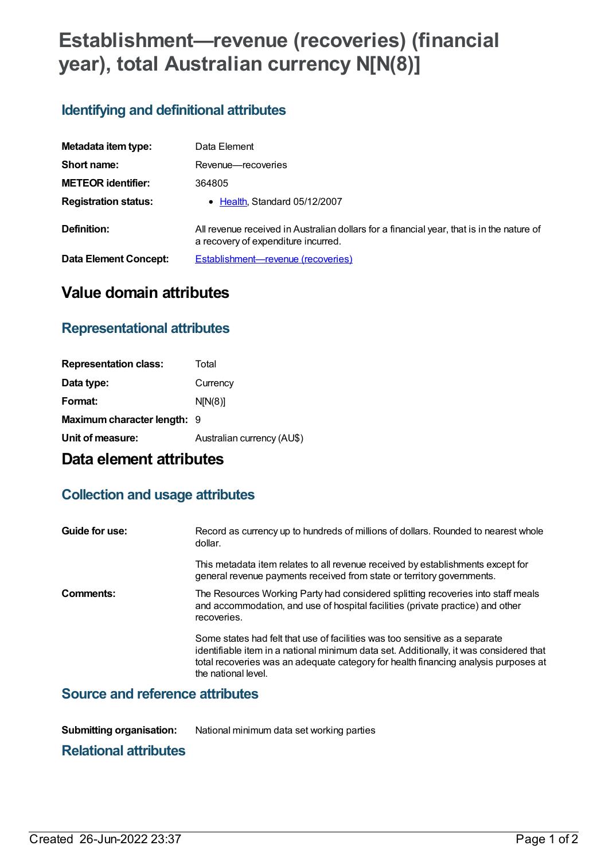# **Establishment—revenue (recoveries) (financial year), total Australian currency N[N(8)]**

### **Identifying and definitional attributes**

| Metadata item type:         | Data Element                                                                                                                     |
|-----------------------------|----------------------------------------------------------------------------------------------------------------------------------|
| Short name:                 | Revenue-recoveries                                                                                                               |
| <b>METEOR identifier:</b>   | 364805                                                                                                                           |
| <b>Registration status:</b> | • Health, Standard 05/12/2007                                                                                                    |
| Definition:                 | All revenue received in Australian dollars for a financial year, that is in the nature of<br>a recovery of expenditure incurred. |
| Data Element Concept:       | <b>Establishment-revenue (recoveries)</b>                                                                                        |

## **Value domain attributes**

### **Representational attributes**

| <b>Representation class:</b> | Total                      |
|------------------------------|----------------------------|
| Data type:                   | Currency                   |
| Format:                      | N[N(8)]                    |
| Maximum character length: 9  |                            |
| Unit of measure:             | Australian currency (AU\$) |

# **Data element attributes**

### **Collection and usage attributes**

| Guide for use: | Record as currency up to hundreds of millions of dollars. Rounded to nearest whole<br>dollar.                                                                                                                                                                                       |
|----------------|-------------------------------------------------------------------------------------------------------------------------------------------------------------------------------------------------------------------------------------------------------------------------------------|
|                | This metadata item relates to all revenue received by establishments except for<br>general revenue payments received from state or territory governments.                                                                                                                           |
| Comments:      | The Resources Working Party had considered splitting recoveries into staff meals<br>and accommodation, and use of hospital facilities (private practice) and other<br>recoveries.                                                                                                   |
|                | Some states had felt that use of facilities was too sensitive as a separate<br>identifiable item in a national minimum data set. Additionally, it was considered that<br>total recoveries was an adequate category for health financing analysis purposes at<br>the national level. |

### **Source and reference attributes**

**Submitting organisation:** National minimum data set working parties

#### **Relational attributes**